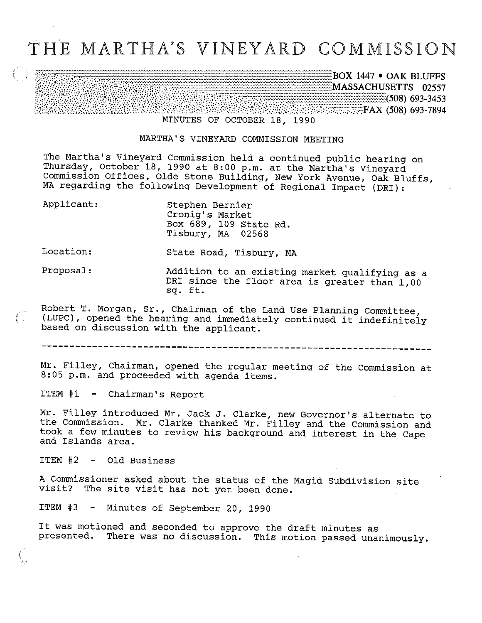## THE MARTHA'S VINEYARD COMMISSION

BOX 1447 • OAK BLUFFS MASSACHUSETTS 02557  $\frac{1}{2}$  (508) 693-3453 ^^^^^^^^^:::^^^^^ (508) 693-7894 <u> Markovar Stoardon (</u> MINUTES OF OCTOBER 18, 1990

MARTHA'S VINEYARD COMMISSION MEETING

The Martha's Vineyard Commission held a continued public hearing on Thursday, October 18, 1990 at 8:00 p.m. at the Martha's Vineyard Commission Offices, Olde Stone Building, New York Avenue, Oak Bluffs, MA regarding the following Development of Regional Impact (DRI):

| Applicant: | Stephen Bernier<br>Cronig's Market<br>Box 689, 109 State Rd.<br>Tisbury, MA 02568               |
|------------|-------------------------------------------------------------------------------------------------|
| Location:  | State Road, Tisbury, MA                                                                         |
| Proposal:  | Addition to an existing market qualifying as a<br>DRI since the floor area is greater than 1,00 |

Robert T. Morgan, Sr., Chairman of the Land Use Planning Committee, (LUPC), opened the hearing and immediately continued it indefinitely  $\mathbb{R}$  . . based on discussion with the applicant.

sq, ft.

Mr. Filley, Chairman, opened the regular meeting of the Commission at 8:05 p.m. and proceeded with agenda items.

ITEM #1 - Chairman's Report

Mr. Filley introduced Mr. Jack J. clarke, new Governor's alternate to the Conmission. Mr. Clarke thanked Mr. Filley and the Commission and took a few minutes to review his background and interest in the Cape and Islands area.

ITEM #2 - Old Business

A Commissioner asked about the status of the Magid Subdivision site visit? The site visit has not yet been done.

ITEM #3 - Minutes of September 20, 1990

It was motioned and seconded to approve the draft minutes as presented. There was no discussion. This motion passed unanimously.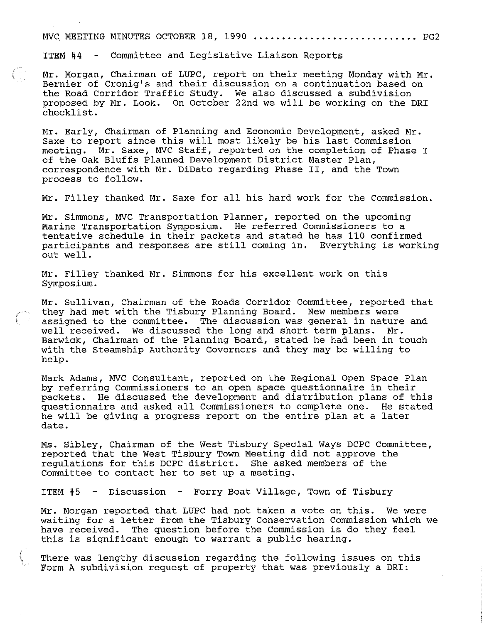MVC MEETING MINUTES OCTOBER 18, 1990  $\ldots\ldots\ldots\ldots\ldots\ldots\ldots\ldots\ldots\ldots$  PG2

ITEM  $#4$  - Committee and Legislative Liaison Reports

Mr. Morgan, Chairman of LUPC, report on their meeting Monday with Mr. Bernier of Cronig's and their discussion on a continuation based on the Road Corridor Traffic Study. We also discussed a subdivision proposed by Mr. Look. On October 22nd we will be working on the DRI checklist.

Mr. Early, Chairman of Planning and Economic Development, asked Mr. Saxe to report since this will most likely be his last Commission meeting. Mr. Saxe, MVC Staff, reported on the completion of Phase I of the Oak Bluffs Planned Development District Master Plan, correspondence with Mr. DiDato regarding Phase II, and the Town process to follow.

Mr. Filley thanked Mr. Saxe for all his hard work for the Commission.

Mr. Simmons, MVC Transportation Planner, reported on the upcoming Marine Transportation Symposium. He referred Commissioners to a tentative schedule in their packets and stated he has 110 confirmed participants and responses are still coming in. Everything is working out well.

Mr. Filley thanked Mr. Simmons for his excellent work on this Symposium.

Mr. Sullivan, Chairman of the Roads Corridor Committee, reported that they had met with the Tisbury Planning Board. New members were assigned to the committee. The discussion was general in nature and well received. We discussed the long and short term plans. Mr. Barwick, Chairman of the Planning Board, stated he had been in touch with the Steamship Authority Governors and they may be willing to help.

Mark Adams, MVC Consultant, reported on the Regional Open Space Plan by referring Commissioners to an open space questionnaire in their packets. He discussed the development and distribution plans of this questionnaire and asked all Commissioners to complete one. He stated he will be giving a progress report on the entire plan at a later date.

Ms. Sibley, Chairman of the West Tisbury Special Ways DCPC Committee, reported that the West Tisbury Town Meeting did not approve the regulations for this DCPC district. She asked members of the Committee to contact her to set up a meeting.

ITEM #5 - Discussion - Ferry Boat Village, Town of Tisbury

Mr. Morgan reported that LUPC had not taken a vote on this. We were waiting for a letter from the Tisbury Conservation Commission which we have received. The question before the Commission is do they feel this is significant enough to warrant a public hearing.

There was lengthy discussion regarding the following issues on this Form A subdivision request of property that was previously a DRI: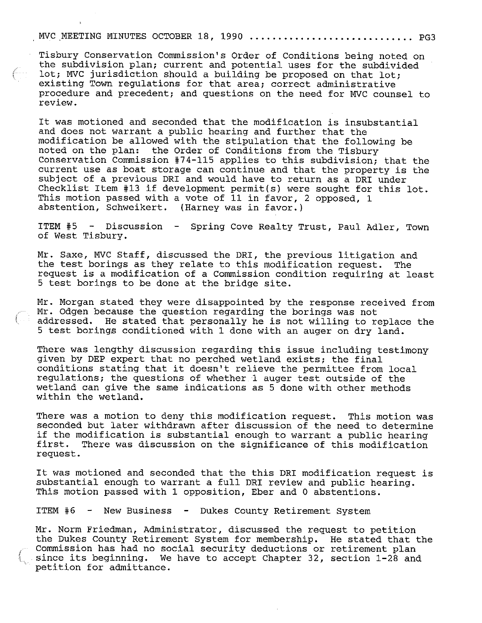## MVC MEETING MINUTES OCTOBER 18, 1990 ............................. PG3

Tisbury Conservation Commission's Order of Conditions being noted on the subdivision plan; current and potential uses for the subdivided lot; MVC jurisdiction should a building be proposed on that lot; existing Town regulations for that area; correct administrative procedure and precedent; and questions on the need for MVC counsel to review.

It was motioned and seconded that the modification is insubstantial and does not warrant a public hearing and further that the modification be allowed with the stipulation that the following be noted on the plan: the Order of Conditions from the Tisbury Conservation Commission #74-115 applies to this subdivision; that the current use as boat storage can continue and that the property is the subject of a previous DRI and would have to return as a DRI under Checklist Item #13 if development permit(s) were sought for this lot. This motion passed with a vote of 11 in favor, 2 opposed, 1 abstention, Schweikert. (Harney was in favor.)

ITEM #5 - Discussion - Spring Cove Realty Trust, Paul Adler, Town of West Tisbury.

Mr. Saxe, MVC Staff, discussed the DRI, the previous litigation and<br>the test borings as they relate to this modification request. The the test borings as they relate to this modification request. request is a modification of a Commission condition requiring at least  $5$  test borings to be done at the bridge site.

Mr. Morgan stated they were disappointed by the response received from Mr. Odgen because the question regarding the borings was not addressed. He stated that personally he is not willing to replace the 5 test borings conditioned with 1 done with an auger on dry land.

There was lengthy discussion regarding this issue including testimony given by DEP expert that no perched wetland exists; the final conditions stating that it doesn't relieve the permittee from local regulations; the questions of whether 1 auger test outside of the wetland can give the same indications as 5 done with other methods within the wetland.

There was a motion to deny this modification request. This motion was seconded but later withdrawn after discussion of the need to determine if the modification is substantial enough to warrant a public hearing first. There was discussion on the significance of this modification request.

It was motioned and seconded that the this DRI modification request is substantial enough to warrant a full DRI review and public hearing. This motion passed with 1 opposition, Eber and 0 abstentions.

ITEM #6 - New Business - Dukes County Retirement System

Mr. Norm Friedman, Administrator, discussed the request to petition the Dukes County Retirement System for membership. He stated that the Commission has had no social security deductions or retirement plan  $\Box$  since its beginning. We have to accept Chapter 32, section 1-28 and petition for admittance.